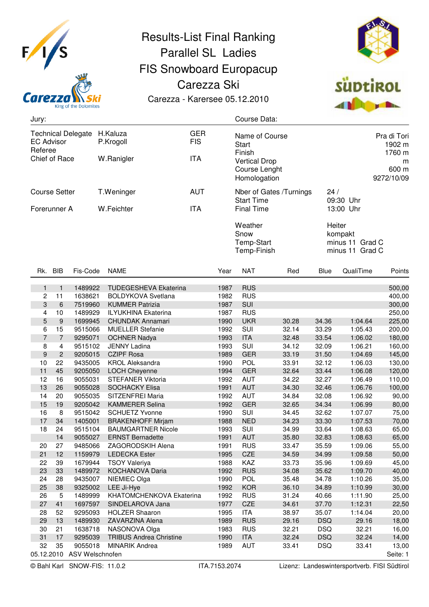

## Results-List Final Ranking Parallel SL Ladies FIS Snowboard Europacup Carezza Ski Carezza - Karersee 05.12.2010



| Jury:                                                                      |                |                                       |                                |                          |      | Course Data:                                          |                         |                                 |                                                         |                   |  |
|----------------------------------------------------------------------------|----------------|---------------------------------------|--------------------------------|--------------------------|------|-------------------------------------------------------|-------------------------|---------------------------------|---------------------------------------------------------|-------------------|--|
| <b>Technical Delegate</b><br><b>EC Advisor</b><br>Referee<br>Chief of Race |                |                                       | H.Kaluza<br>P.Krogoll          | <b>GER</b><br><b>FIS</b> |      | Name of Course<br><b>Start</b><br>Finish              |                         | Pra di Tori<br>1902 m<br>1760 m |                                                         |                   |  |
|                                                                            |                |                                       | W.Ranigler                     | <b>ITA</b>               |      | <b>Vertical Drop</b><br>Course Lenght<br>Homologation |                         |                                 | m<br>600 m<br>9272/10/09                                |                   |  |
| <b>Course Setter</b>                                                       |                |                                       | T.Weninger                     | <b>AUT</b>               |      |                                                       | Nber of Gates /Turnings | 24/                             |                                                         |                   |  |
| Forerunner A                                                               |                |                                       | W.Feichter                     |                          |      | <b>Start Time</b><br><b>Final Time</b>                |                         | 09:30 Uhr<br>13:00 Uhr          |                                                         |                   |  |
|                                                                            |                |                                       |                                |                          |      | Weather<br>Snow<br>Temp-Start<br>Temp-Finish          |                         |                                 | Heiter<br>kompakt<br>minus 11 Grad C<br>minus 11 Grad C |                   |  |
| Rk. BIB                                                                    |                | Fis-Code                              | <b>NAME</b>                    |                          | Year | <b>NAT</b>                                            | Red                     | Blue                            | QualiTime                                               | Points            |  |
| 1                                                                          | $\mathbf{1}$   | 1489922                               | <b>TUDEGESHEVA Ekaterina</b>   |                          | 1987 | <b>RUS</b>                                            |                         |                                 |                                                         | 500,00            |  |
| $\overline{c}$                                                             | 11             | 1638621                               | <b>BOLDYKOVA Svetlana</b>      |                          | 1982 | <b>RUS</b>                                            |                         |                                 |                                                         | 400,00            |  |
| 3                                                                          | 6              | 7519960                               | <b>KUMMER Patrizia</b>         |                          | 1987 | SUI                                                   |                         |                                 |                                                         | 300,00            |  |
| 4                                                                          | 10             | 1489929                               | <b>ILYUKHINA Ekaterina</b>     |                          | 1987 | <b>RUS</b>                                            |                         |                                 |                                                         | 250,00            |  |
| 5                                                                          | 9              | 1699945                               | <b>CHUNDAK Annamari</b>        |                          | 1990 | <b>UKR</b>                                            | 30.28                   | 34.36                           | 1:04.64                                                 | 225,00            |  |
| 6                                                                          | 15             | 9515066                               | <b>MUELLER Stefanie</b>        |                          | 1992 | SUI                                                   | 32.14                   | 33.29                           | 1:05.43                                                 | 200,00            |  |
| 7                                                                          | $\overline{7}$ | 9295071                               | <b>OCHNER Nadya</b>            |                          | 1993 | <b>ITA</b>                                            | 32.48                   | 33.54                           | 1:06.02                                                 | 180,00            |  |
| 8                                                                          | 4              | 9515102                               | <b>JENNY Ladina</b>            |                          | 1993 | SUI                                                   | 34.12                   | 32.09                           | 1:06.21                                                 | 160,00            |  |
| 9                                                                          | $\overline{2}$ | 9205015                               | <b>CZIPF Rosa</b>              |                          | 1989 | <b>GER</b>                                            | 33.19                   | 31.50                           | 1:04.69                                                 | 145,00            |  |
| 10                                                                         | 22             | 9435005                               | <b>KROL Aleksandra</b>         |                          | 1990 | POL                                                   | 33.91                   | 32.12                           | 1:06.03                                                 | 130,00            |  |
| 11                                                                         | 45             | 9205050                               | LOCH Cheyenne                  |                          | 1994 | <b>GER</b>                                            | 32.64                   | 33.44                           | 1:06.08                                                 | 120,00            |  |
| 12                                                                         | 16             | 9055031                               | STEFANER Viktoria              |                          | 1992 | <b>AUT</b>                                            | 34.22                   | 32.27                           | 1:06.49                                                 | 110,00            |  |
| 13                                                                         | 26             | 9055028                               | <b>SOCHACKY Elisa</b>          |                          | 1991 | <b>AUT</b>                                            | 34.30                   | 32.46                           | 1:06.76                                                 | 100,00            |  |
| 14                                                                         | 20             | 9055035                               | SITZENFREI Maria               |                          | 1992 | <b>AUT</b>                                            | 34.84                   | 32.08                           | 1:06.92                                                 | 90,00             |  |
| 15                                                                         | 19             | 9205042                               | <b>KAMMERER Selina</b>         |                          | 1992 | <b>GER</b>                                            | 32.65                   | 34.34                           | 1:06.99                                                 | 80,00             |  |
| 16                                                                         | 8              | 9515042                               | <b>SCHUETZ Yvonne</b>          |                          | 1990 | SUI                                                   | 34.45                   | 32.62                           | 1:07.07                                                 | 75,00             |  |
| 17                                                                         | 34             | 1405001                               | <b>BRAKENHOFF Mirjam</b>       |                          | 1988 | <b>NED</b>                                            | 34.23                   | 33.30                           | 1:07.53                                                 | 70,00             |  |
| 18                                                                         | 24             | 9515104                               | <b>BAUMGARTNER Nicole</b>      |                          | 1993 | SUI                                                   | 34.99                   | 33.64                           | 1:08.63                                                 | 65,00             |  |
|                                                                            | 14             | 9055027                               | <b>ERNST Bernadette</b>        |                          | 1991 | <b>AUT</b>                                            | 35.80                   | 32.83                           | 1:08.63                                                 | 65,00             |  |
| 20                                                                         | 27             | 9485066                               | ZAGORODSKIH Alena              |                          | 1991 | <b>RUS</b>                                            | 33.47                   | 35.59                           | 1:09.06                                                 | 55,00             |  |
| 21                                                                         | 12             | 1159979                               | <b>LEDECKA Ester</b>           |                          | 1995 | CZE                                                   | 34.59                   | 34.99                           | 1:09.58                                                 | 50,00             |  |
| 22                                                                         | 39             | 1679944                               | <b>TSOY Valeriya</b>           |                          | 1988 | KAZ                                                   | 33.73                   | 35.96                           | 1:09.69                                                 | 45,00             |  |
| 23                                                                         | 33             | 1489972                               | KOCHANOVA Daria                |                          | 1992 | <b>RUS</b>                                            | 34.08                   | 35.62                           | 1:09.70                                                 | 40,00             |  |
| 24                                                                         | 28             | 9435007                               | NIEMIEC Olga                   |                          | 1990 | <b>POL</b>                                            | 35.48                   | 34.78                           | 1:10.26                                                 | 35,00             |  |
| 25                                                                         | 38             | 9325002                               | LEE Ji-Hye                     |                          | 1992 | <b>KOR</b>                                            | 36.10                   | 34.89                           | 1:10.99                                                 | 30,00             |  |
| 26                                                                         | 5              | 1489999                               | KHATOMCHENKOVA Ekaterina       |                          | 1992 | <b>RUS</b>                                            | 31.24                   | 40.66                           | 1:11.90                                                 | 25,00             |  |
| 27                                                                         | 41             | 1697597                               | SINDELAROVA Jana               |                          | 1977 | CZE                                                   | 34.61                   | 37.70                           | 1:12.31                                                 | 22,50             |  |
| 28                                                                         | 52             | 9295093                               | <b>HOLZER Shaaron</b>          |                          | 1995 | ITA                                                   | 38.97                   | 35.07                           | 1:14.04                                                 | 20,00             |  |
| 29                                                                         | 13             | 1489930                               | ZAVARZINA Alena                |                          | 1989 | <b>RUS</b>                                            | 29.16                   | <b>DSQ</b>                      | 29.16                                                   | 18,00             |  |
| 30                                                                         | 21             | 1638718                               | NASONOVA Olga                  |                          | 1983 | <b>RUS</b>                                            | 32.21                   | <b>DSQ</b>                      | 32.21                                                   | 16,00             |  |
| 31                                                                         | 17             | 9295039                               | <b>TRIBUS Andrea Christine</b> |                          | 1990 | <b>ITA</b>                                            | 32.24                   | <b>DSQ</b>                      | 32.24                                                   | 14,00             |  |
| 32                                                                         | 35             | 9055018<br>05.12.2010 ASV Welschnofen | <b>MINARIK Andrea</b>          |                          | 1989 | <b>AUT</b>                                            | 33.41                   | <b>DSQ</b>                      | 33.41                                                   | 13,00<br>Seite: 1 |  |
|                                                                            |                |                                       |                                |                          |      |                                                       |                         |                                 |                                                         |                   |  |